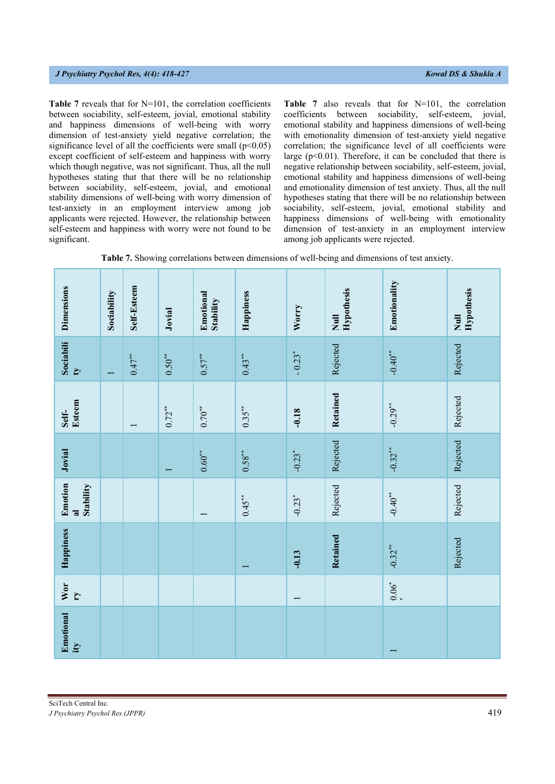**Table 7** reveals that for N=101, the correlation coefficients between sociability, self-esteem, jovial, emotional stability and happiness dimensions of well-being with worry dimension of test-anxiety yield negative correlation; the significance level of all the coefficients were small  $(p<0.05)$ except coefficient of self-esteem and happiness with worry which though negative, was not significant. Thus, all the null hypotheses stating that that there will be no relationship between sociability, self-esteem, jovial, and emotional stability dimensions of well-being with worry dimension of test-anxiety in an employment interview among job applicants were rejected. However, the relationship between self-esteem and happiness with worry were not found to be significant.

Table 7 also reveals that for N=101, the correlation coefficients between sociability, self-esteem, jovial, emotional stability and happiness dimensions of well-being with emotionality dimension of test-anxiety yield negative correlation; the significance level of all coefficients were large  $(p<0.01)$ . Therefore, it can be concluded that there is negative relationship between sociability, self-esteem, jovial, emotional stability and happiness dimensions of well-being and emotionality dimension of test anxiety. Thus, all the null hypotheses stating that there will be no relationship between sociability, self-esteem, jovial, emotional stability and happiness dimensions of well-being with emotionality dimension of test-anxiety in an employment interview among job applicants were rejected.

| Table 7. Showing correlations between dimensions of well-being and dimensions of test anxiety. |  |  |  |  |  |  |  |
|------------------------------------------------------------------------------------------------|--|--|--|--|--|--|--|
|------------------------------------------------------------------------------------------------|--|--|--|--|--|--|--|

| Dimensions                             | Sociability | Self-Esteem | Jovial   | Emotional<br>Stability | Happiness | Worry                    | <b>Hypothesis</b><br>$\overline{\mathbf{z}}$ | Emotionality   | <b>Hypothesis</b><br>$\overline{\mathbf{z}}$ |
|----------------------------------------|-------------|-------------|----------|------------------------|-----------|--------------------------|----------------------------------------------|----------------|----------------------------------------------|
| Sociabili<br>$\mathbf{C}$              |             | $0.47***$   | $0.50**$ | $0.57***$              | $0.43***$ | $-0.23*$                 | Rejected                                     | $-0.40**$      | Rejected                                     |
| Esteem<br>Self-                        |             |             | $0.72**$ | $0.70**$               | $0.35***$ | $-0.18$                  | Retained                                     | $-0.29**$      | Rejected                                     |
| Jovial                                 |             |             |          | $0.60**$               | $0.58***$ | $-0.23$ <sup>*</sup>     | Rejected                                     | $-0.32***$     | Rejected                                     |
| Emotion<br>Stability<br>$\overline{a}$ |             |             |          |                        | $0.45**$  | $-0.23*$                 | Rejected                                     | $-0.40**$      | Rejected                                     |
| Happiness                              |             |             |          |                        |           | $-0.13$                  | Retained                                     | $-0.32***$     | Rejected                                     |
| Wor<br>$\mathbf{r}$                    |             |             |          |                        |           | $\overline{\phantom{0}}$ |                                              | $0.06^{*}$     |                                              |
| <b>Emotional</b><br>ity                |             |             |          |                        |           |                          |                                              | $\overline{ }$ |                                              |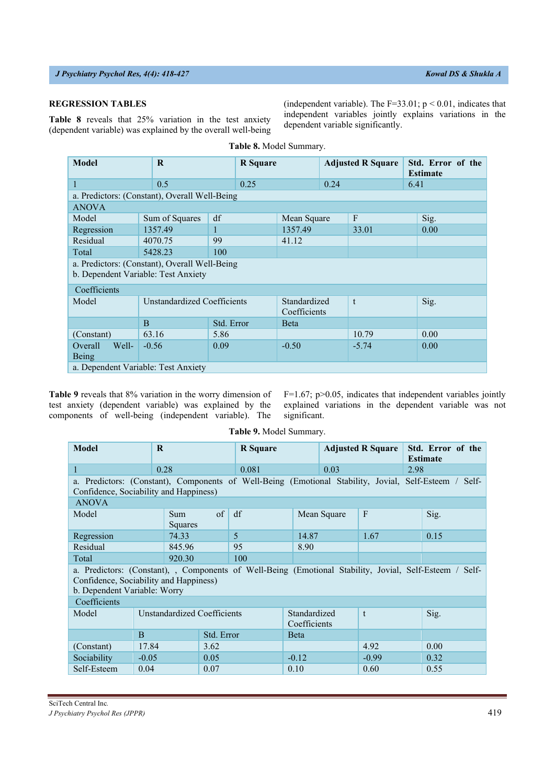# **REGRESSION TABLES**

**Table 8** reveals that 25% variation in the test anxiety (dependent variable) was explained by the overall well-being

| <b>Model</b>                                                                         | $\bf R$                     |            |      | <b>R</b> Square              |      | <b>Adjusted R Square</b> | Std. Error of the<br><b>Estimate</b> |  |  |  |
|--------------------------------------------------------------------------------------|-----------------------------|------------|------|------------------------------|------|--------------------------|--------------------------------------|--|--|--|
|                                                                                      | 0.5                         |            | 0.25 |                              | 0.24 |                          | 6.41                                 |  |  |  |
| a. Predictors: (Constant), Overall Well-Being                                        |                             |            |      |                              |      |                          |                                      |  |  |  |
| <b>ANOVA</b>                                                                         |                             |            |      |                              |      |                          |                                      |  |  |  |
| Model                                                                                | Sum of Squares              | df         |      | Mean Square                  |      | $\mathbf{F}$             | Sig.                                 |  |  |  |
| Regression                                                                           | 1357.49                     |            |      | 1357.49                      |      | 33.01                    | 0.00                                 |  |  |  |
| Residual                                                                             | 4070.75                     | 99         |      | 41.12                        |      |                          |                                      |  |  |  |
| Total                                                                                | 5428.23                     | 100        |      |                              |      |                          |                                      |  |  |  |
| a. Predictors: (Constant), Overall Well-Being<br>b. Dependent Variable: Test Anxiety |                             |            |      |                              |      |                          |                                      |  |  |  |
| Coefficients                                                                         |                             |            |      |                              |      |                          |                                      |  |  |  |
| Model                                                                                | Unstandardized Coefficients |            |      | Standardized<br>Coefficients |      | t                        | Sig.                                 |  |  |  |
|                                                                                      | $\overline{B}$              | Std. Error |      | <b>B</b> eta                 |      |                          |                                      |  |  |  |
| (Constant)                                                                           | 63.16                       | 5.86       |      |                              |      | 10.79                    | 0.00                                 |  |  |  |
| Overall<br>Well-<br>Being                                                            | $-0.56$                     | 0.09       |      | $-0.50$                      |      | $-5.74$                  | 0.00                                 |  |  |  |
| a. Dependent Variable: Test Anxiety                                                  |                             |            |      |                              |      |                          |                                      |  |  |  |

**Table 8.** Model Summary.

**Table 9** reveals that 8% variation in the worry dimension of test anxiety (dependent variable) was explained by the components of well-being (independent variable). The

F=1.67; p>0.05, indicates that independent variables jointly explained variations in the dependent variable was not significant.

(independent variable). The  $F=33.01$ ;  $p < 0.01$ , indicates that independent variables jointly explains variations in the

dependent variable significantly.

**Table 9.** Model Summary.

| Model                                                                                                                                                                             | $\mathbf R$                 |                 | <b>R</b> Square |                              |              | <b>Adjusted R Square</b> |         | Std. Error of the<br><b>Estimate</b> |      |
|-----------------------------------------------------------------------------------------------------------------------------------------------------------------------------------|-----------------------------|-----------------|-----------------|------------------------------|--------------|--------------------------|---------|--------------------------------------|------|
| 1                                                                                                                                                                                 | 0.28                        |                 |                 | 0.081                        |              |                          | 0.03    |                                      | 2.98 |
| a. Predictors: (Constant), Components of Well-Being (Emotional Stability, Jovial, Self-Esteem / Self-<br>Confidence, Sociability and Happiness)                                   |                             |                 |                 |                              |              |                          |         |                                      |      |
| <b>ANOVA</b>                                                                                                                                                                      |                             |                 |                 |                              |              |                          |         |                                      |      |
| Model                                                                                                                                                                             |                             | Sum.<br>Squares | $\sigma$<br>df  |                              |              | Mean Square              |         |                                      | Sig. |
| Regression                                                                                                                                                                        |                             | 74.33           | $\overline{5}$  |                              | 14.87        |                          | 1.67    |                                      | 0.15 |
| Residual                                                                                                                                                                          |                             | 845.96          |                 | 95                           | 8.90         |                          |         |                                      |      |
| Total                                                                                                                                                                             |                             | 920.30          |                 | 100                          |              |                          |         |                                      |      |
| a. Predictors: (Constant), , Components of Well-Being (Emotional Stability, Jovial, Self-Esteem / Self-<br>Confidence, Sociability and Happiness)<br>b. Dependent Variable: Worry |                             |                 |                 |                              |              |                          |         |                                      |      |
| Coefficients                                                                                                                                                                      |                             |                 |                 |                              |              |                          |         |                                      |      |
| Model                                                                                                                                                                             | Unstandardized Coefficients |                 |                 | Standardized<br>Coefficients |              | $\mathbf{t}$             |         | Sig.                                 |      |
|                                                                                                                                                                                   | $\overline{B}$              |                 | Std. Error      |                              | <b>B</b> eta |                          |         |                                      |      |
| (Constant)                                                                                                                                                                        | 17.84                       |                 | 3.62            |                              |              |                          | 4.92    |                                      | 0.00 |
| Sociability                                                                                                                                                                       | $-0.05$                     |                 | 0.05            |                              | $-0.12$      |                          | $-0.99$ |                                      | 0.32 |
| Self-Esteem                                                                                                                                                                       | 0.04                        |                 | 0.07            |                              | 0.10         |                          | 0.60    |                                      | 0.55 |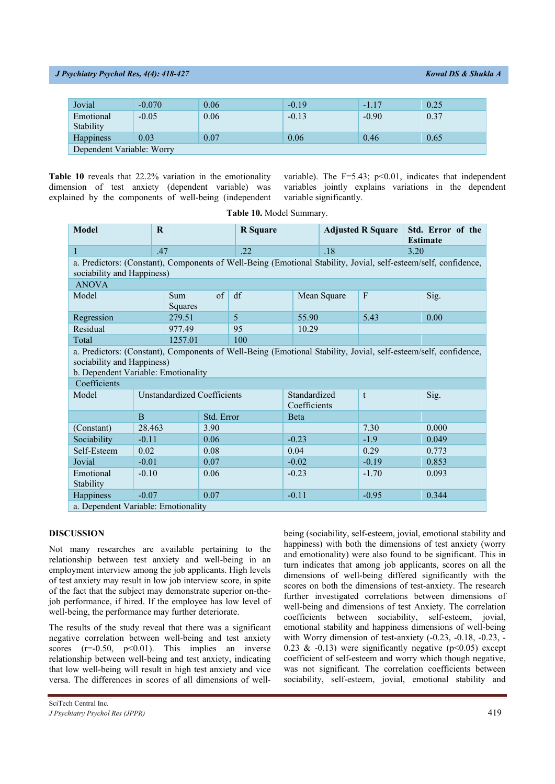| Jovial                    | $-0.070$ | 0.06 | $-0.19$ | $-1.17$ | 0.25 |  |  |  |
|---------------------------|----------|------|---------|---------|------|--|--|--|
| Emotional<br>Stability    | $-0.05$  | 0.06 | $-0.13$ | $-0.90$ | 0.37 |  |  |  |
| <b>Happiness</b>          | 0.03     | 0.07 | 0.06    | 0.46    | 0.65 |  |  |  |
| Dependent Variable: Worry |          |      |         |         |      |  |  |  |

**Table 10** reveals that 22.2% variation in the emotionality dimension of test anxiety (dependent variable) was explained by the components of well-being (independent variable). The F=5.43; p<0.01, indicates that independent variables jointly explains variations in the dependent variable significantly.

| <b>Model</b>                                                                                                                                                                         | R                                   |                             | <b>R</b> Square |         | <b>Adjusted R Square</b>     |             | Std. Error of the<br><b>Estimate</b> |       |       |  |  |
|--------------------------------------------------------------------------------------------------------------------------------------------------------------------------------------|-------------------------------------|-----------------------------|-----------------|---------|------------------------------|-------------|--------------------------------------|-------|-------|--|--|
| 1                                                                                                                                                                                    |                                     | .47                         |                 | .22     |                              |             | .18                                  |       | 3.20  |  |  |
| a. Predictors: (Constant), Components of Well-Being (Emotional Stability, Jovial, self-esteem/self, confidence,<br>sociability and Happiness)                                        |                                     |                             |                 |         |                              |             |                                      |       |       |  |  |
| <b>ANOVA</b>                                                                                                                                                                         |                                     |                             |                 |         |                              |             |                                      |       |       |  |  |
| Model                                                                                                                                                                                |                                     | Sum<br>Squares              | of              | df      |                              | Mean Square | $\boldsymbol{\mathrm{F}}$            |       | Sig.  |  |  |
| Regression                                                                                                                                                                           |                                     | 279.51                      |                 | 5       | 55.90                        |             | 5.43                                 |       | 0.00  |  |  |
| Residual                                                                                                                                                                             |                                     | 977.49                      |                 | 95      | 10.29                        |             |                                      |       |       |  |  |
| Total                                                                                                                                                                                |                                     | 1257.01                     |                 | 100     |                              |             |                                      |       |       |  |  |
| a. Predictors: (Constant), Components of Well-Being (Emotional Stability, Jovial, self-esteem/self, confidence,<br>sociability and Happiness)<br>b. Dependent Variable: Emotionality |                                     |                             |                 |         |                              |             |                                      |       |       |  |  |
| Coefficients                                                                                                                                                                         |                                     |                             |                 |         |                              |             |                                      |       |       |  |  |
| Model                                                                                                                                                                                |                                     | Unstandardized Coefficients |                 |         | Standardized<br>Coefficients |             | t                                    |       | Sig.  |  |  |
|                                                                                                                                                                                      | $\overline{B}$                      |                             | Std. Error      |         | <b>B</b> eta                 |             |                                      |       |       |  |  |
| (Constant)                                                                                                                                                                           | 28.463                              |                             | 3.90            |         |                              |             | 7.30                                 |       | 0.000 |  |  |
| Sociability                                                                                                                                                                          | $-0.11$                             |                             | 0.06            |         | $-0.23$                      |             | $-1.9$                               |       | 0.049 |  |  |
| Self-Esteem                                                                                                                                                                          | 0.02                                |                             | 0.08            | 0.04    |                              | 0.29        |                                      |       | 0.773 |  |  |
| Jovial                                                                                                                                                                               | $-0.01$<br>0.07                     |                             |                 | $-0.02$ |                              | $-0.19$     |                                      | 0.853 |       |  |  |
| Emotional<br>Stability                                                                                                                                                               | $-0.10$<br>0.06                     |                             |                 | $-0.23$ |                              | $-1.70$     |                                      | 0.093 |       |  |  |
| Happiness                                                                                                                                                                            | $-0.07$                             |                             | 0.07            |         | $-0.11$                      |             | $-0.95$                              |       | 0.344 |  |  |
|                                                                                                                                                                                      | a. Dependent Variable: Emotionality |                             |                 |         |                              |             |                                      |       |       |  |  |

**Table 10.** Model Summary.

# **DISCUSSION**

Not many researches are available pertaining to the relationship between test anxiety and well-being in an employment interview among the job applicants. High levels of test anxiety may result in low job interview score, in spite of the fact that the subject may demonstrate superior on-thejob performance, if hired. If the employee has low level of well-being, the performance may further deteriorate.

The results of the study reveal that there was a significant negative correlation between well-being and test anxiety scores  $(r=0.50, p<0.01)$ . This implies an inverse relationship between well-being and test anxiety, indicating that low well-being will result in high test anxiety and vice versa. The differences in scores of all dimensions of wellbeing (sociability, self-esteem, jovial, emotional stability and happiness) with both the dimensions of test anxiety (worry and emotionality) were also found to be significant. This in turn indicates that among job applicants, scores on all the dimensions of well-being differed significantly with the scores on both the dimensions of test-anxiety. The research further investigated correlations between dimensions of well-being and dimensions of test Anxiety. The correlation coefficients between sociability, self-esteem, jovial, emotional stability and happiness dimensions of well-being with Worry dimension of test-anxiety (-0.23, -0.18, -0.23, -0.23  $\&$  -0.13) were significantly negative (p<0.05) except coefficient of self-esteem and worry which though negative, was not significant. The correlation coefficients between sociability, self-esteem, jovial, emotional stability and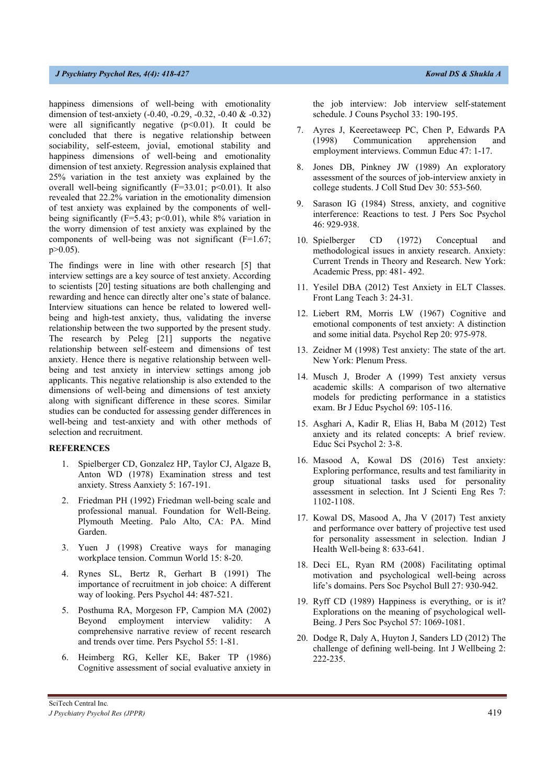happiness dimensions of well-being with emotionality dimension of test-anxiety (-0.40, -0.29, -0.32, -0.40 & -0.32) were all significantly negative  $(p<0.01)$ . It could be concluded that there is negative relationship between sociability, self-esteem, jovial, emotional stability and happiness dimensions of well-being and emotionality dimension of test anxiety. Regression analysis explained that 25% variation in the test anxiety was explained by the overall well-being significantly ( $F=33.01$ ;  $p<0.01$ ). It also revealed that 22.2% variation in the emotionality dimension of test anxiety was explained by the components of wellbeing significantly ( $F=5.43$ ;  $p<0.01$ ), while 8% variation in the worry dimension of test anxiety was explained by the components of well-being was not significant (F=1.67; p>0.05).

The findings were in line with other research [5] that interview settings are a key source of test anxiety. According to scientists [20] testing situations are both challenging and rewarding and hence can directly alter one's state of balance. Interview situations can hence be related to lowered wellbeing and high-test anxiety, thus, validating the inverse relationship between the two supported by the present study. The research by Peleg [21] supports the negative relationship between self-esteem and dimensions of test anxiety. Hence there is negative relationship between wellbeing and test anxiety in interview settings among job applicants. This negative relationship is also extended to the dimensions of well-being and dimensions of test anxiety along with significant difference in these scores. Similar studies can be conducted for assessing gender differences in well-being and test-anxiety and with other methods of selection and recruitment.

## **REFERENCES**

- 1. Spielberger CD, Gonzalez HP, Taylor CJ, Algaze B, Anton WD (1978) Examination stress and test anxiety. Stress Aanxiety 5: 167-191.
- 2. Friedman PH (1992) Friedman well-being scale and professional manual. Foundation for Well-Being. Plymouth Meeting. Palo Alto, CA: PA. Mind Garden.
- 3. Yuen J (1998) Creative ways for managing workplace tension. Commun World 15: 8-20.
- 4. Rynes SL, Bertz R, Gerhart B (1991) The importance of recruitment in job choice: A different way of looking. Pers Psychol 44: 487-521.
- 5. Posthuma RA, Morgeson FP, Campion MA (2002) Beyond employment interview validity: A comprehensive narrative review of recent research and trends over time. Pers Psychol 55: 1-81.
- 6. Heimberg RG, Keller KE, Baker TP (1986) Cognitive assessment of social evaluative anxiety in

the job interview: Job interview self-statement schedule. J Couns Psychol 33: 190-195.

- 7. Ayres J, Keereetaweep PC, Chen P, Edwards PA (1998) Communication apprehension and employment interviews. Commun Educ 47: 1-17.
- 8. Jones DB, Pinkney JW (1989) An exploratory assessment of the sources of job-interview anxiety in college students. J Coll Stud Dev 30: 553-560.
- 9. Sarason IG (1984) Stress, anxiety, and cognitive interference: Reactions to test. J Pers Soc Psychol 46: 929-938.
- 10. Spielberger CD (1972) Conceptual and methodological issues in anxiety research. Anxiety: Current Trends in Theory and Research. New York: Academic Press, pp: 481- 492.
- 11. Yesilel DBA (2012) Test Anxiety in ELT Classes. Front Lang Teach 3: 24-31.
- 12. Liebert RM, Morris LW (1967) Cognitive and emotional components of test anxiety: A distinction and some initial data. Psychol Rep 20: 975-978.
- 13. Zeidner M (1998) Test anxiety: The state of the art. New York: Plenum Press.
- 14. Musch J, Broder A (1999) Test anxiety versus academic skills: A comparison of two alternative models for predicting performance in a statistics exam. Br J Educ Psychol 69: 105-116.
- 15. Asghari A, Kadir R, Elias H, Baba M (2012) Test anxiety and its related concepts: A brief review. Educ Sci Psychol 2: 3-8.
- 16. Masood A, Kowal DS (2016) Test anxiety: Exploring performance, results and test familiarity in group situational tasks used for personality assessment in selection. Int J Scienti Eng Res 7: 1102-1108.
- 17. Kowal DS, Masood A, Jha V (2017) Test anxiety and performance over battery of projective test used for personality assessment in selection. Indian J Health Well-being 8: 633-641.
- 18. Deci EL, Ryan RM (2008) Facilitating optimal motivation and psychological well-being across life's domains. Pers Soc Psychol Bull 27: 930-942.
- 19. Ryff CD (1989) Happiness is everything, or is it? Explorations on the meaning of psychological well-Being. J Pers Soc Psychol 57: 1069-1081.
- 20. Dodge R, Daly A, Huyton J, Sanders LD (2012) The challenge of defining well-being. Int J Wellbeing 2: 222-235.